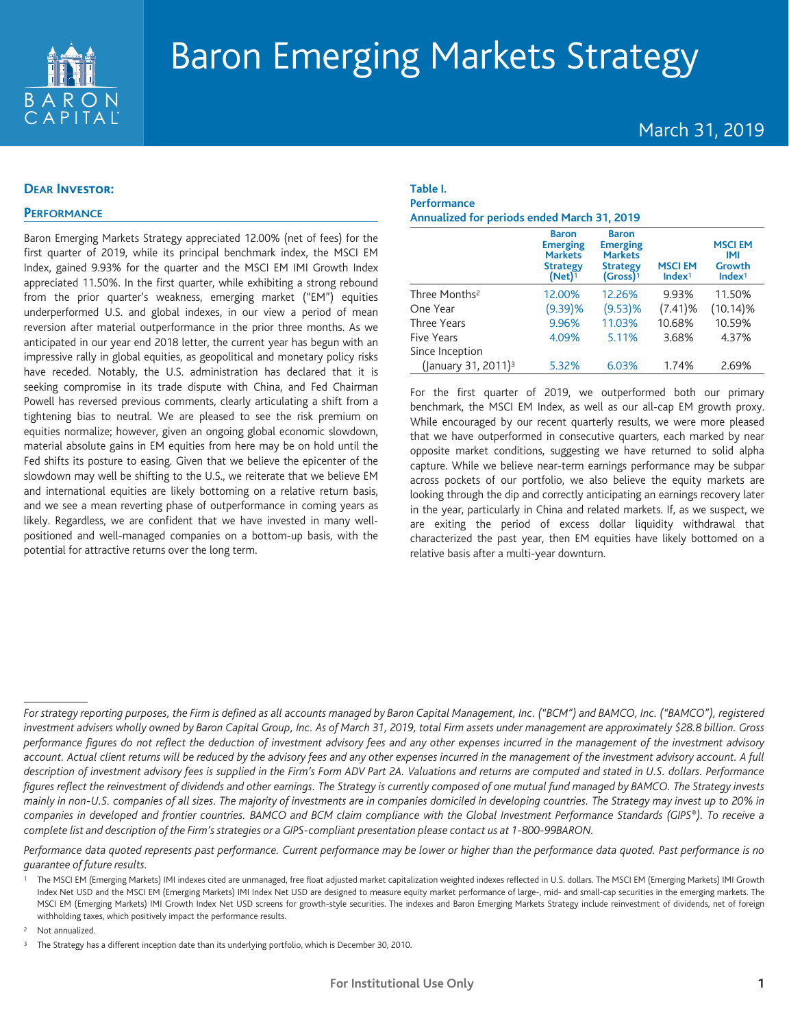

# Baron Emerging Markets Strategy

# March 31, 2019

#### **DEAR Investor:**

## **PERFORMANCE**

Baron Emerging Markets Strategy appreciated 12.00% (net of fees) for the first quarter of 2019, while its principal benchmark index, the MSCI EM Index, gained 9.93% for the quarter and the MSCI EM IMI Growth Index appreciated 11.50%. In the first quarter, while exhibiting a strong rebound from the prior quarter's weakness, emerging market ("EM") equities underperformed U.S. and global indexes, in our view a period of mean reversion after material outperformance in the prior three months. As we anticipated in our year end 2018 letter, the current year has begun with an impressive rally in global equities, as geopolitical and monetary policy risks have receded. Notably, the U.S. administration has declared that it is seeking compromise in its trade dispute with China, and Fed Chairman Powell has reversed previous comments, clearly articulating a shift from a tightening bias to neutral. We are pleased to see the risk premium on equities normalize; however, given an ongoing global economic slowdown, material absolute gains in EM equities from here may be on hold until the Fed shifts its posture to easing. Given that we believe the epicenter of the slowdown may well be shifting to the U.S., we reiterate that we believe EM and international equities are likely bottoming on a relative return basis, and we see a mean reverting phase of outperformance in coming years as likely. Regardless, we are confident that we have invested in many wellpositioned and well-managed companies on a bottom-up basis, with the potential for attractive returns over the long term.

# **Table I. Performance Annualized for periods ended March 31, 2019**

|                                 | <b>Baron</b><br><b>Emerging</b><br><b>Markets</b><br><b>Strategy</b><br>$(Net)^1$ | <b>Baron</b><br><b>Emerging</b><br><b>Markets</b><br><b>Strategy</b><br>$(Gross)^1$ | <b>MSCIEM</b><br>Index <sup>1</sup> | <b>MSCIEM</b><br>IMI<br>Growth<br>Index <sup>1</sup> |
|---------------------------------|-----------------------------------------------------------------------------------|-------------------------------------------------------------------------------------|-------------------------------------|------------------------------------------------------|
| Three Months <sup>2</sup>       | 12.00%                                                                            | 12.26%                                                                              | 9.93%                               | 11.50%                                               |
| One Year                        | (9.39)%                                                                           | $(9.53)$ %                                                                          | (7.41)%                             | $(10.14)\%$                                          |
| <b>Three Years</b>              | 9.96%                                                                             | 11.03%                                                                              | 10.68%                              | 10.59%                                               |
| <b>Five Years</b>               | 4.09%                                                                             | 5.11%                                                                               | 3.68%                               | 4.37%                                                |
| Since Inception                 |                                                                                   |                                                                                     |                                     |                                                      |
| (January 31, 2011) <sup>3</sup> | 5.32%                                                                             | 6.03%                                                                               | 1.74%                               | 2.69%                                                |

For the first quarter of 2019, we outperformed both our primary benchmark, the MSCI EM Index, as well as our all-cap EM growth proxy. While encouraged by our recent quarterly results, we were more pleased that we have outperformed in consecutive quarters, each marked by near opposite market conditions, suggesting we have returned to solid alpha capture. While we believe near-term earnings performance may be subpar across pockets of our portfolio, we also believe the equity markets are looking through the dip and correctly anticipating an earnings recovery later in the year, particularly in China and related markets. If, as we suspect, we are exiting the period of excess dollar liquidity withdrawal that characterized the past year, then EM equities have likely bottomed on a relative basis after a multi-year downturn.

Performance data quoted represents past performance. Current performance may be lower or higher than the performance data quoted. Past performance is no *guarantee of future results.*

<sup>2</sup> Not annualized.

For strategy reporting purposes, the Firm is defined as all accounts managed by Baron Capital Management, Inc. ("BCM") and BAMCO, Inc. ("BAMCO"), registered investment advisers wholly owned by Baron Capital Group, Inc. As of March 31, 2019, total Firm assets under management are approximately \$28.8 billion. Gross performance figures do not reflect the deduction of investment advisory fees and any other expenses incurred in the management of the investment advisory account. Actual client returns will be reduced by the advisory fees and any other expenses incurred in the management of the investment advisory account. A full description of investment advisory fees is supplied in the Firm's Form ADV Part 2A. Valuations and returns are computed and stated in U.S. dollars. Performance figures reflect the reinvestment of dividends and other earnings. The Strategy is currently composed of one mutual fund managed by BAMCO. The Strategy invests mainly in non-U.S. companies of all sizes. The majority of investments are in companies domiciled in developing countries. The Strategy may invest up to 20% in companies in developed and frontier countries. BAMCO and BCM claim compliance with the Global Investment Performance Standards (GIPS®). To receive a complete list and description of the Firm's strategies or a GIPS-compliant presentation please contact us at 1-800-99BARON.

<sup>1</sup> The MSCI EM (Emerging Markets) IMI indexes cited are unmanaged, free float adjusted market capitalization weighted indexes reflected in U.S. dollars. The MSCI EM (Emerging Markets) IMI Growth Index Net USD and the MSCI EM (Emerging Markets) IMI Index Net USD are designed to measure equity market performance of large-, mid- and small-cap securities in the emerging markets. The MSCI EM (Emerging Markets) IMI Growth Index Net USD screens for growth-style securities. The indexes and Baron Emerging Markets Strategy include reinvestment of dividends, net of foreign withholding taxes, which positively impact the performance results.

The Strategy has a different inception date than its underlying portfolio, which is December 30, 2010.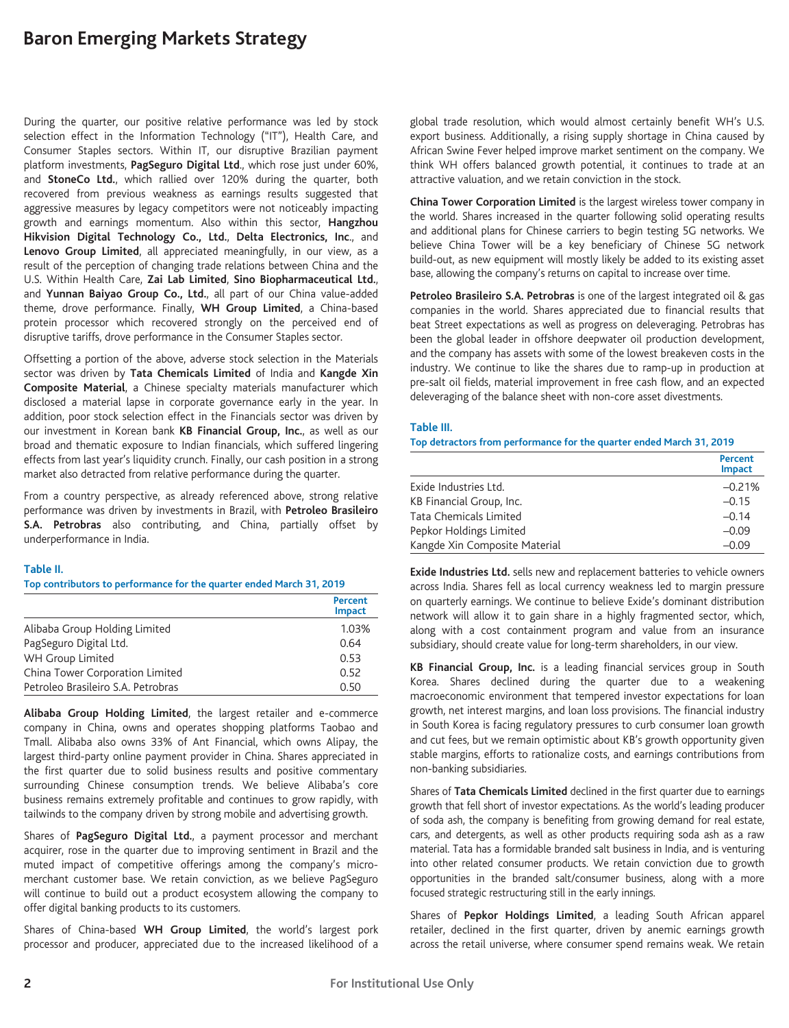# **Baron Emerging Markets Strategy**

During the quarter, our positive relative performance was led by stock selection effect in the Information Technology ("IT"), Health Care, and Consumer Staples sectors. Within IT, our disruptive Brazilian payment platform investments, **PagSeguro Digital Ltd**., which rose just under 60%, and **StoneCo Ltd.**, which rallied over 120% during the quarter, both recovered from previous weakness as earnings results suggested that aggressive measures by legacy competitors were not noticeably impacting growth and earnings momentum. Also within this sector, **Hangzhou Hikvision Digital Technology Co., Ltd.**, **Delta Electronics, Inc**., and **Lenovo Group Limited**, all appreciated meaningfully, in our view, as a result of the perception of changing trade relations between China and the U.S. Within Health Care, **Zai Lab Limited**, **Sino Biopharmaceutical Ltd.**, and **Yunnan Baiyao Group Co., Ltd.**, all part of our China value-added theme, drove performance. Finally, **WH Group Limited**, a China-based protein processor which recovered strongly on the perceived end of disruptive tariffs, drove performance in the Consumer Staples sector.

Offsetting a portion of the above, adverse stock selection in the Materials sector was driven by **Tata Chemicals Limited** of India and **Kangde Xin Composite Material**, a Chinese specialty materials manufacturer which disclosed a material lapse in corporate governance early in the year. In addition, poor stock selection effect in the Financials sector was driven by our investment in Korean bank **KB Financial Group, Inc.**, as well as our broad and thematic exposure to Indian financials, which suffered lingering effects from last year's liquidity crunch. Finally, our cash position in a strong market also detracted from relative performance during the quarter.

From a country perspective, as already referenced above, strong relative performance was driven by investments in Brazil, with **Petroleo Brasileiro S.A. Petrobras** also contributing, and China, partially offset by underperformance in India.

#### **Table II.**

**Top contributors to performance for the quarter ended March 31, 2019**

|                                    | Percent<br><b>Impact</b> |
|------------------------------------|--------------------------|
| Alibaba Group Holding Limited      | 1.03%                    |
| PagSeguro Digital Ltd.             | 0.64                     |
| WH Group Limited                   | 0.53                     |
| China Tower Corporation Limited    | 0.52                     |
| Petroleo Brasileiro S.A. Petrobras | 0.50                     |

**Alibaba Group Holding Limited**, the largest retailer and e-commerce company in China, owns and operates shopping platforms Taobao and Tmall. Alibaba also owns 33% of Ant Financial, which owns Alipay, the largest third-party online payment provider in China. Shares appreciated in the first quarter due to solid business results and positive commentary surrounding Chinese consumption trends. We believe Alibaba's core business remains extremely profitable and continues to grow rapidly, with tailwinds to the company driven by strong mobile and advertising growth.

Shares of **PagSeguro Digital Ltd.**, a payment processor and merchant acquirer, rose in the quarter due to improving sentiment in Brazil and the muted impact of competitive offerings among the company's micromerchant customer base. We retain conviction, as we believe PagSeguro will continue to build out a product ecosystem allowing the company to offer digital banking products to its customers.

Shares of China-based **WH Group Limited**, the world's largest pork processor and producer, appreciated due to the increased likelihood of a

global trade resolution, which would almost certainly benefit WH's U.S. export business. Additionally, a rising supply shortage in China caused by African Swine Fever helped improve market sentiment on the company. We think WH offers balanced growth potential, it continues to trade at an attractive valuation, and we retain conviction in the stock.

**China Tower Corporation Limited** is the largest wireless tower company in the world. Shares increased in the quarter following solid operating results and additional plans for Chinese carriers to begin testing 5G networks. We believe China Tower will be a key beneficiary of Chinese 5G network build-out, as new equipment will mostly likely be added to its existing asset base, allowing the company's returns on capital to increase over time.

**Petroleo Brasileiro S.A. Petrobras** is one of the largest integrated oil & gas companies in the world. Shares appreciated due to financial results that beat Street expectations as well as progress on deleveraging. Petrobras has been the global leader in offshore deepwater oil production development, and the company has assets with some of the lowest breakeven costs in the industry. We continue to like the shares due to ramp-up in production at pre-salt oil fields, material improvement in free cash flow, and an expected deleveraging of the balance sheet with non-core asset divestments.

#### **Table III.**

**Top detractors from performance for the quarter ended March 31, 2019**

|                               | <b>Percent</b><br>Impact |
|-------------------------------|--------------------------|
| Exide Industries Ltd.         | $-0.21%$                 |
| KB Financial Group, Inc.      | $-0.15$                  |
| <b>Tata Chemicals Limited</b> | $-0.14$                  |
| Pepkor Holdings Limited       | $-0.09$                  |
| Kangde Xin Composite Material | $-0.09$                  |

**Exide Industries Ltd.** sells new and replacement batteries to vehicle owners across India. Shares fell as local currency weakness led to margin pressure on quarterly earnings. We continue to believe Exide's dominant distribution network will allow it to gain share in a highly fragmented sector, which, along with a cost containment program and value from an insurance subsidiary, should create value for long-term shareholders, in our view.

**KB Financial Group, Inc.** is a leading financial services group in South Korea. Shares declined during the quarter due to a weakening macroeconomic environment that tempered investor expectations for loan growth, net interest margins, and loan loss provisions. The financial industry in South Korea is facing regulatory pressures to curb consumer loan growth and cut fees, but we remain optimistic about KB's growth opportunity given stable margins, efforts to rationalize costs, and earnings contributions from non-banking subsidiaries.

Shares of **Tata Chemicals Limited** declined in the first quarter due to earnings growth that fell short of investor expectations. As the world's leading producer of soda ash, the company is benefiting from growing demand for real estate, cars, and detergents, as well as other products requiring soda ash as a raw material. Tata has a formidable branded salt business in India, and is venturing into other related consumer products. We retain conviction due to growth opportunities in the branded salt/consumer business, along with a more focused strategic restructuring still in the early innings.

Shares of **Pepkor Holdings Limited**, a leading South African apparel retailer, declined in the first quarter, driven by anemic earnings growth across the retail universe, where consumer spend remains weak. We retain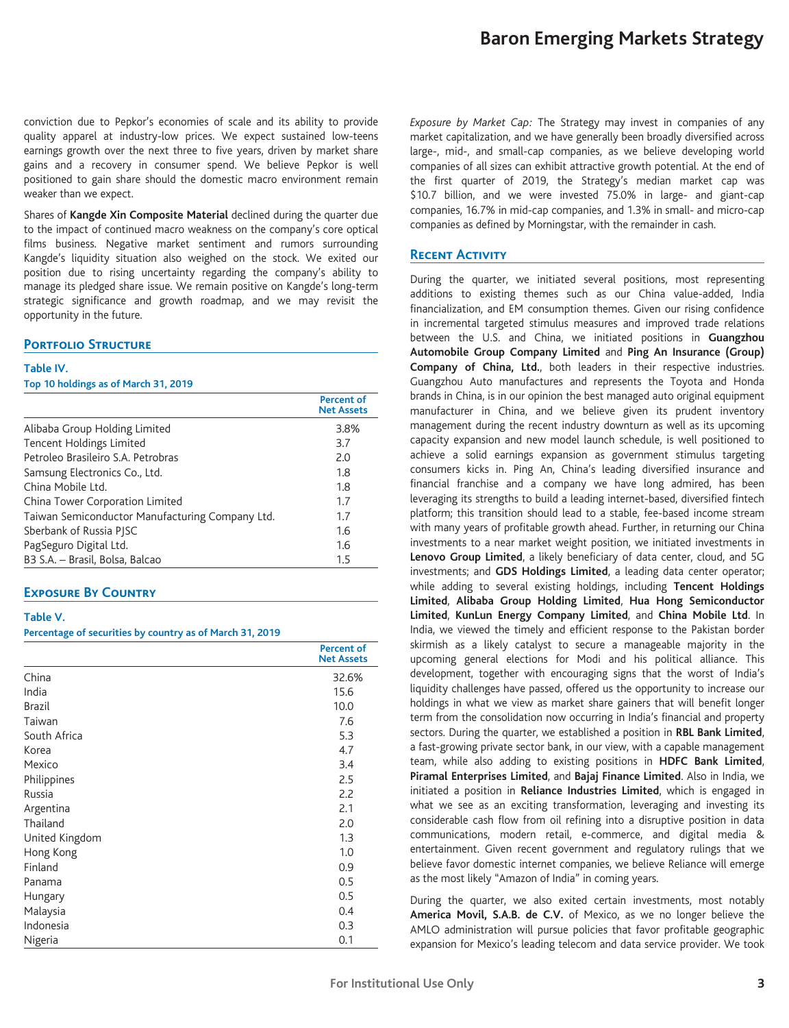conviction due to Pepkor's economies of scale and its ability to provide quality apparel at industry-low prices. We expect sustained low-teens earnings growth over the next three to five years, driven by market share gains and a recovery in consumer spend. We believe Pepkor is well positioned to gain share should the domestic macro environment remain weaker than we expect.

Shares of **Kangde Xin Composite Material** declined during the quarter due to the impact of continued macro weakness on the company's core optical films business. Negative market sentiment and rumors surrounding Kangde's liquidity situation also weighed on the stock. We exited our position due to rising uncertainty regarding the company's ability to manage its pledged share issue. We remain positive on Kangde's long-term strategic significance and growth roadmap, and we may revisit the opportunity in the future.

# **Portfolio Structure**

#### **Table IV.**

#### **Top 10 holdings as of March 31, 2019**

|                                                 | Percent of<br><b>Net Assets</b> |
|-------------------------------------------------|---------------------------------|
| Alibaba Group Holding Limited                   | 3.8%                            |
| <b>Tencent Holdings Limited</b>                 | 3.7                             |
| Petroleo Brasileiro S.A. Petrobras              | 2.0                             |
| Samsung Electronics Co., Ltd.                   | 1.8                             |
| China Mobile I td.                              | 1.8                             |
| China Tower Corporation Limited                 | 1.7                             |
| Taiwan Semiconductor Manufacturing Company Ltd. | 1.7                             |
| Sberbank of Russia PISC                         | 1.6                             |
| PagSeguro Digital Ltd.                          | 1.6                             |
| B3 S.A. - Brasil, Bolsa, Balcao                 | 1.5                             |

# **Exposure By Country**

## **Table V.**

#### **Percentage of securities by country as of March 31, 2019**

|                | <b>Percent of</b><br><b>Net Assets</b> |
|----------------|----------------------------------------|
| China          | 32.6%                                  |
| India          | 15.6                                   |
| <b>Brazil</b>  | 10.0                                   |
| Taiwan         | 7.6                                    |
| South Africa   | 5.3                                    |
| Korea          | 4.7                                    |
| Mexico         | 3.4                                    |
| Philippines    | 2.5                                    |
| Russia         | 2.2                                    |
| Argentina      | 2.1                                    |
| Thailand       | 2.0                                    |
| United Kingdom | 1.3                                    |
| Hong Kong      | 1.0                                    |
| Finland        | 0.9                                    |
| Panama         | 0.5                                    |
| Hungary        | 0.5                                    |
| Malaysia       | 0.4                                    |
| Indonesia      | 0.3                                    |
| Nigeria        | 0.1                                    |

*Exposure by Market Cap:* The Strategy may invest in companies of any market capitalization, and we have generally been broadly diversified across large-, mid-, and small-cap companies, as we believe developing world companies of all sizes can exhibit attractive growth potential. At the end of the first quarter of 2019, the Strategy's median market cap was \$10.7 billion, and we were invested 75.0% in large- and giant-cap companies, 16.7% in mid-cap companies, and 1.3% in small- and micro-cap companies as defined by Morningstar, with the remainder in cash.

#### **Recent Activity**

During the quarter, we initiated several positions, most representing additions to existing themes such as our China value-added, India financialization, and EM consumption themes. Given our rising confidence in incremental targeted stimulus measures and improved trade relations between the U.S. and China, we initiated positions in **Guangzhou Automobile Group Company Limited** and **Ping An Insurance (Group) Company of China, Ltd.**, both leaders in their respective industries. Guangzhou Auto manufactures and represents the Toyota and Honda brands in China, is in our opinion the best managed auto original equipment manufacturer in China, and we believe given its prudent inventory management during the recent industry downturn as well as its upcoming capacity expansion and new model launch schedule, is well positioned to achieve a solid earnings expansion as government stimulus targeting consumers kicks in. Ping An, China's leading diversified insurance and financial franchise and a company we have long admired, has been leveraging its strengths to build a leading internet-based, diversified fintech platform; this transition should lead to a stable, fee-based income stream with many years of profitable growth ahead. Further, in returning our China investments to a near market weight position, we initiated investments in **Lenovo Group Limited**, a likely beneficiary of data center, cloud, and 5G investments; and **GDS Holdings Limited**, a leading data center operator; while adding to several existing holdings, including **Tencent Holdings Limited**, **Alibaba Group Holding Limited**, **Hua Hong Semiconductor Limited**, **KunLun Energy Company Limited**, and **China Mobile Ltd**. In India, we viewed the timely and efficient response to the Pakistan border skirmish as a likely catalyst to secure a manageable majority in the upcoming general elections for Modi and his political alliance. This development, together with encouraging signs that the worst of India's liquidity challenges have passed, offered us the opportunity to increase our holdings in what we view as market share gainers that will benefit longer term from the consolidation now occurring in India's financial and property sectors. During the quarter, we established a position in **RBL Bank Limited**, a fast-growing private sector bank, in our view, with a capable management team, while also adding to existing positions in **HDFC Bank Limited**, **Piramal Enterprises Limited**, and **Bajaj Finance Limited**. Also in India, we initiated a position in **Reliance Industries Limited**, which is engaged in what we see as an exciting transformation, leveraging and investing its considerable cash flow from oil refining into a disruptive position in data communications, modern retail, e-commerce, and digital media & entertainment. Given recent government and regulatory rulings that we believe favor domestic internet companies, we believe Reliance will emerge as the most likely "Amazon of India" in coming years.

During the quarter, we also exited certain investments, most notably **America Movil, S.A.B. de C.V.** of Mexico, as we no longer believe the AMLO administration will pursue policies that favor profitable geographic expansion for Mexico's leading telecom and data service provider. We took